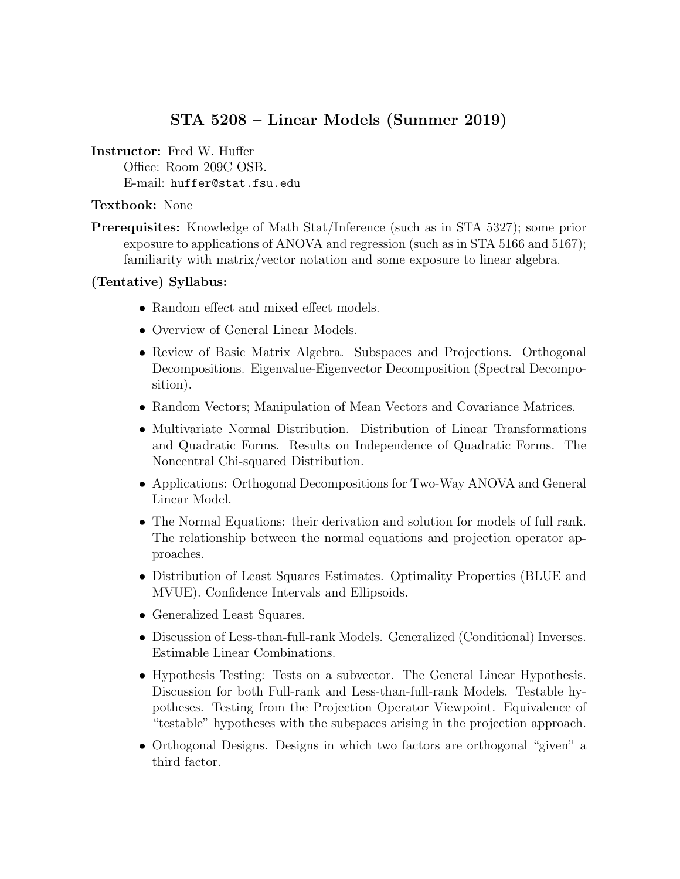# STA 5208 – Linear Models (Summer 2019)

Instructor: Fred W. Huffer

Office: Room 209C OSB. E-mail: huffer@stat.fsu.edu

#### Textbook: None

Prerequisites: Knowledge of Math Stat/Inference (such as in STA 5327); some prior exposure to applications of ANOVA and regression (such as in STA 5166 and 5167); familiarity with matrix/vector notation and some exposure to linear algebra.

### (Tentative) Syllabus:

- Random effect and mixed effect models.
- Overview of General Linear Models.
- Review of Basic Matrix Algebra. Subspaces and Projections. Orthogonal Decompositions. Eigenvalue-Eigenvector Decomposition (Spectral Decomposition).
- Random Vectors; Manipulation of Mean Vectors and Covariance Matrices.
- Multivariate Normal Distribution. Distribution of Linear Transformations and Quadratic Forms. Results on Independence of Quadratic Forms. The Noncentral Chi-squared Distribution.
- Applications: Orthogonal Decompositions for Two-Way ANOVA and General Linear Model.
- The Normal Equations: their derivation and solution for models of full rank. The relationship between the normal equations and projection operator approaches.
- Distribution of Least Squares Estimates. Optimality Properties (BLUE and MVUE). Confidence Intervals and Ellipsoids.
- Generalized Least Squares.
- Discussion of Less-than-full-rank Models. Generalized (Conditional) Inverses. Estimable Linear Combinations.
- Hypothesis Testing: Tests on a subvector. The General Linear Hypothesis. Discussion for both Full-rank and Less-than-full-rank Models. Testable hypotheses. Testing from the Projection Operator Viewpoint. Equivalence of "testable" hypotheses with the subspaces arising in the projection approach.
- Orthogonal Designs. Designs in which two factors are orthogonal "given" a third factor.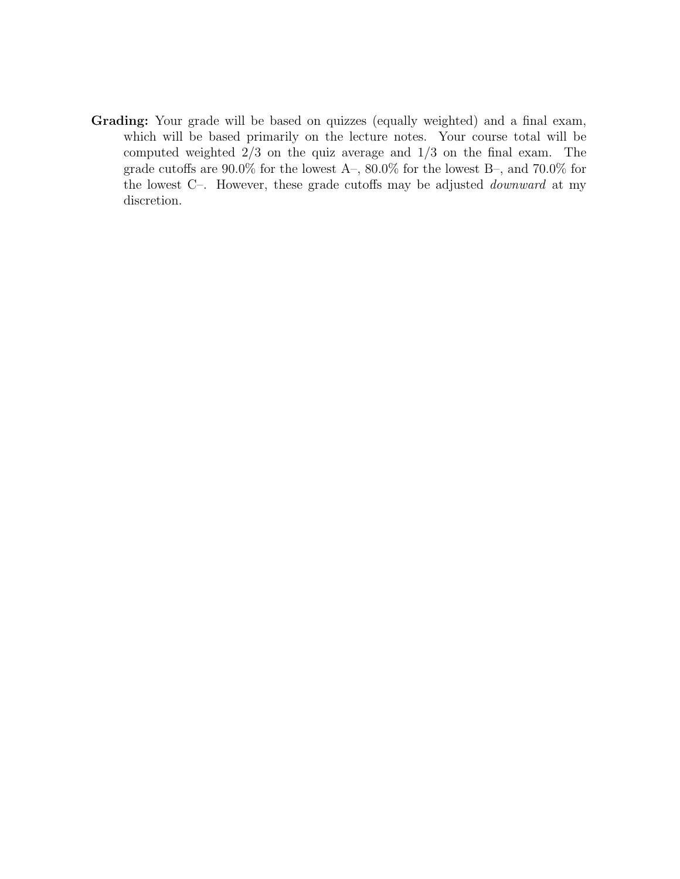Grading: Your grade will be based on quizzes (equally weighted) and a final exam, which will be based primarily on the lecture notes. Your course total will be computed weighted  $2/3$  on the quiz average and  $1/3$  on the final exam. The grade cutoffs are  $90.0\%$  for the lowest A–,  $80.0\%$  for the lowest B–, and  $70.0\%$  for the lowest C–. However, these grade cutoffs may be adjusted downward at my discretion.